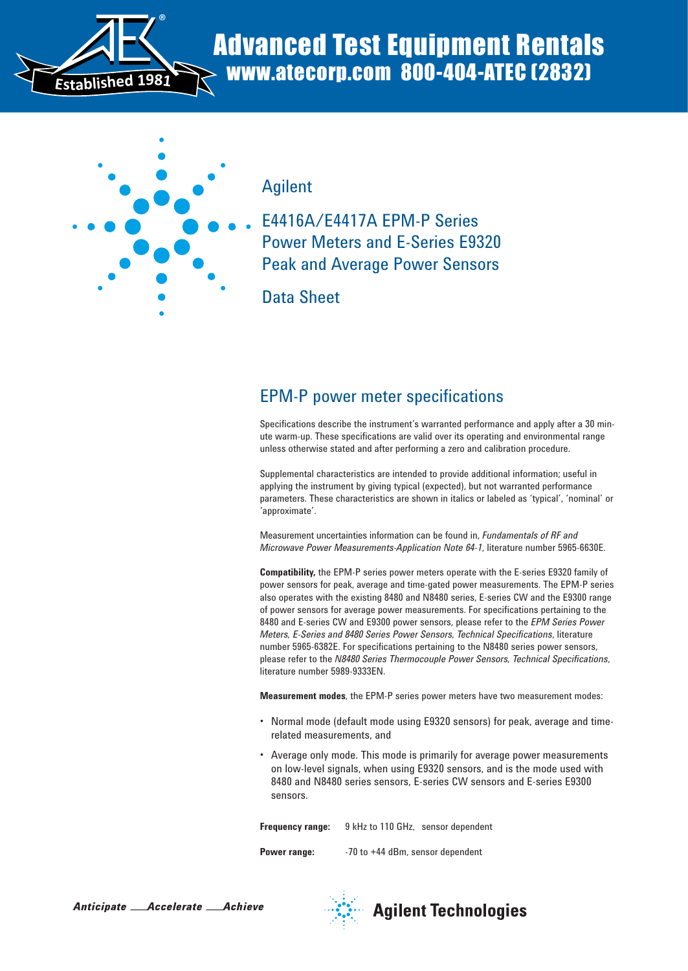

# Advanced Test Equipment Rentals www.atecorp.com 800-404-ATEC (2832)



Agilent

E4416A/E4417A EPM-P Series Power Meters and E-Series E9320 Peak and Average Power Sensors

Data Sheet

## EPM-P power meter specifications

Specifications describe the instrument's warranted performance and apply after a 30 minute warm-up. These specifications are valid over its operating and environmental range unless otherwise stated and after performing a zero and calibration procedure.

Supplemental characteristics are intended to provide additional information; useful in applying the instrument by giving typical (expected), but not warranted performance parameters. These characteristics are shown in italics or labeled as 'typical', 'nominal' or 'approximate'.

Measurement uncertainties information can be found in, *Fundamentals of RF and Microwave Power Measurements-Application Note 64-1*, literature number 5965-6630E.

**Compatibility,** the EPM-P series power meters operate with the E-series E9320 family of power sensors for peak, average and time-gated power measurements. The EPM-P series also operates with the existing 8480 and N8480 series, E-series CW and the E9300 range of power sensors for average power measurements. For specifications pertaining to the 8480 and E-series CW and E9300 power sensors, please refer to the *EPM Series Power Meters, E-Series and 8480 Series Power Sensors, Technical Specifications*, literature number 5965-6382E. For specifications pertaining to the N8480 series power sensors, please refer to the *N8480 Series Thermocouple Power Sensors, Technical Specifications*, literature number 5989-9333EN.

**Measurement modes**, the EPM-P series power meters have two measurement modes:

- Normal mode (default mode using E9320 sensors) for peak, average and timerelated measurements, and
- Average only mode. This mode is primarily for average power measurements on low-level signals, when using E9320 sensors, and is the mode used with 8480 and N8480 series sensors, E-series CW sensors and E-series E9300 sensors.

**Frequency range:** 9 kHz to 110 GHz, sensor dependent **Power range:** -70 to +44 dBm, sensor dependent





**Agilent Technologies**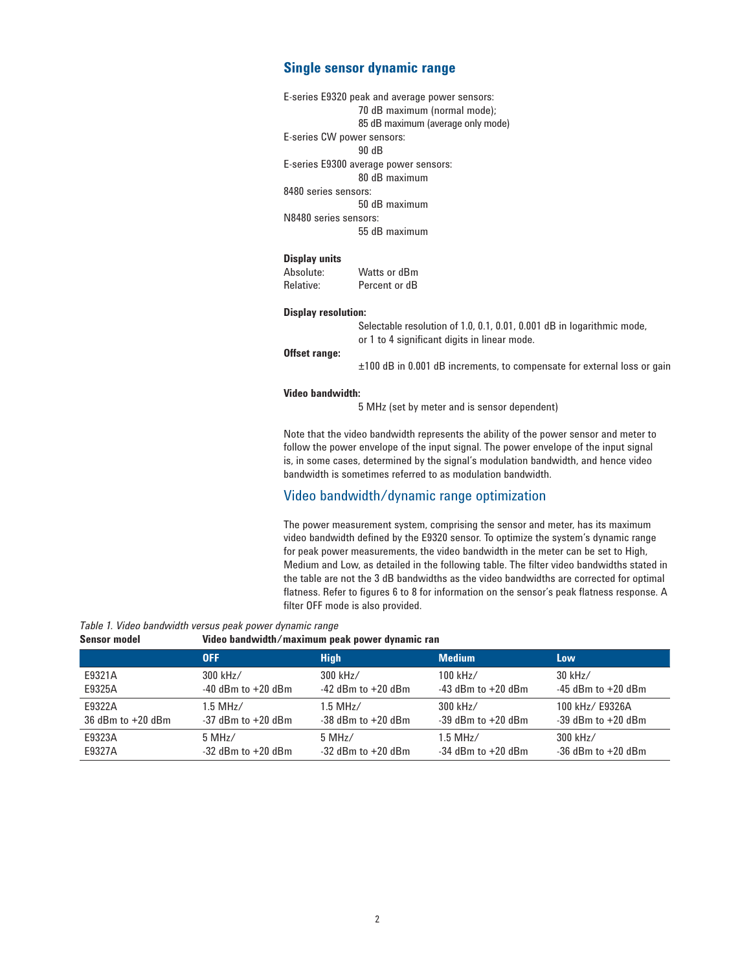### **Single sensor dynamic range**

| E-series E9320 peak and average power sensors: |
|------------------------------------------------|
| 70 dB maximum (normal mode);                   |
| 85 dB maximum (average only mode)              |
| E-series CW power sensors:                     |
| 90 dB                                          |
| E-series E9300 average power sensors:          |
| 80 dB maximum                                  |
| 8480 series sensors:                           |
| 50 dB maximum                                  |
| N8480 series sensors:                          |
| 55 dB maximum                                  |
|                                                |
|                                                |

#### **Display units**

Absolute: Watts or dBm Relative: Percent or dB

#### **Display resolution:**

Selectable resolution of 1.0, 0.1, 0.01, 0.001 dB in logarithmic mode, or 1 to 4 significant digits in linear mode.

### **Offset range:**

±100 dB in 0.001 dB increments, to compensate for external loss or gain

#### **Video bandwidth:**

5 MHz (set by meter and is sensor dependent)

Note that the video bandwidth represents the ability of the power sensor and meter to follow the power envelope of the input signal. The power envelope of the input signal is, in some cases, determined by the signal's modulation bandwidth, and hence video bandwidth is sometimes referred to as modulation bandwidth.

### Video bandwidth/dynamic range optimization

The power measurement system, comprising the sensor and meter, has its maximum video bandwidth defined by the E9320 sensor. To optimize the system's dynamic range for peak power measurements, the video bandwidth in the meter can be set to High, Medium and Low, as detailed in the following table. The filter video bandwidths stated in the table are not the 3 dB bandwidths as the video bandwidths are corrected for optimal flatness. Refer to figures 6 to 8 for information on the sensor's peak flatness response. A filter OFF mode is also provided.

*Table 1. Video bandwidth versus peak power dynamic range*

#### **Sensor model Video bandwidth/maximum peak power dynamic ran**

|                       | <b>OFF</b>             | <b>High</b>            | <b>Medium</b>          | Low                    |
|-----------------------|------------------------|------------------------|------------------------|------------------------|
| E9321A                | 300 kHz/               | 300 kHz/               | $100$ kHz/             | $30$ kHz/              |
| E9325A                | $-40$ dBm to $+20$ dBm | $-42$ dBm to $+20$ dBm | $-43$ dBm to $+20$ dBm | $-45$ dBm to $+20$ dBm |
| E9322A                | $1.5$ MHz/             | $1.5$ MHz/             | 300 kHz/               | 100 kHz/ E9326A        |
| $36$ dBm to $+20$ dBm | $-37$ dBm to $+20$ dBm | $-38$ dBm to $+20$ dBm | $-39$ dBm to $+20$ dBm | $-39$ dBm to $+20$ dBm |
| E9323A                | 5 MHz/                 | 5 MHz/                 | $1.5$ MHz/             | 300 kHz/               |
| E9327A                | $-32$ dBm to $+20$ dBm | $-32$ dBm to $+20$ dBm | $-34$ dBm to $+20$ dBm | $-36$ dBm to $+20$ dBm |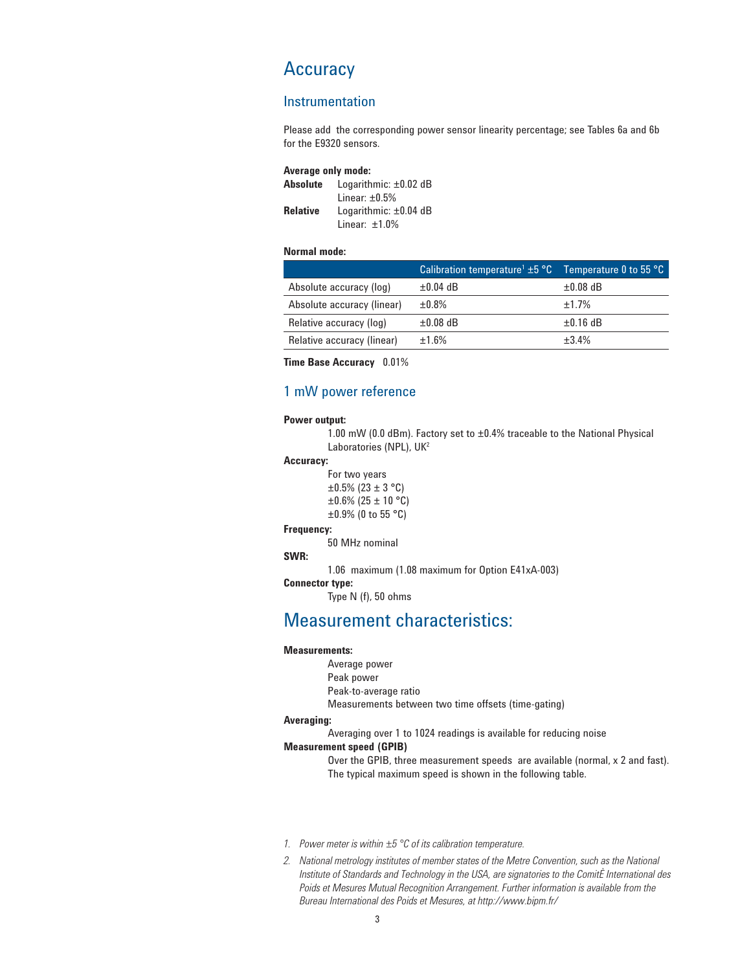## **Accuracy**

### Instrumentation

Please add the corresponding power sensor linearity percentage; see Tables 6a and 6b for the E9320 sensors.

| <b>Average only mode:</b> |                            |  |
|---------------------------|----------------------------|--|
| Absolute                  | Logarithmic: $\pm 0.02$ dB |  |
|                           | Linear: $\pm 0.5\%$        |  |
| <b>Relative</b>           | Logarithmic: $\pm 0.04$ dB |  |
|                           | Linear: $±1.0\%$           |  |

#### **Normal mode:**

|                            | Calibration temperature <sup>1</sup> $\pm$ 5 $\degree$ C Temperature 0 to 55 $\degree$ C |               |
|----------------------------|------------------------------------------------------------------------------------------|---------------|
| Absolute accuracy (log)    | $\pm 0.04$ dB                                                                            | $\pm 0.08$ dB |
| Absolute accuracy (linear) | $\pm 0.8\%$                                                                              | ±1.7%         |
| Relative accuracy (log)    | $\pm 0.08$ dB                                                                            | $\pm 0.16$ dB |
| Relative accuracy (linear) | ±1.6%                                                                                    | $+3.4%$       |

**Time Base Accuracy** 0.01%

### 1 mW power reference

#### **Power output:**

 1.00 mW (0.0 dBm). Factory set to ±0.4% traceable to the National Physical Laboratories (NPL), UK<sup>2</sup>

### **Accuracy:**

```
 For two years 
\pm 0.5\% (23 \pm 3 °C)
\pm 0.6\% (25 \pm 10 °C)
\pm 0.9\% (0 to 55 °C)
```
**Frequency:**

50 MHz nominal

### **SWR:**

1.06 maximum (1.08 maximum for Option E41xA-003)

**Connector type:** Type N (f), 50 ohms

### Measurement characteristics:

#### **Measurements:**

Average power

Peak power

Peak-to-average ratio

Measurements between two time offsets (time-gating)

#### **Averaging:**

 Averaging over 1 to 1024 readings is available for reducing noise **Measurement speed (GPIB)**

> Over the GPIB, three measurement speeds are available (normal, x 2 and fast). The typical maximum speed is shown in the following table.

- *1. Power meter is within ±5 °C of its calibration temperature.*
- *2. National metrology institutes of member states of the Metre Convention, such as the National Institute of Standards and Technology in the USA, are signatories to the ComitÈ International des Poids et Mesures Mutual Recognition Arrangement. Further information is available from the Bureau International des Poids et Mesures, at http://www.bipm.fr/*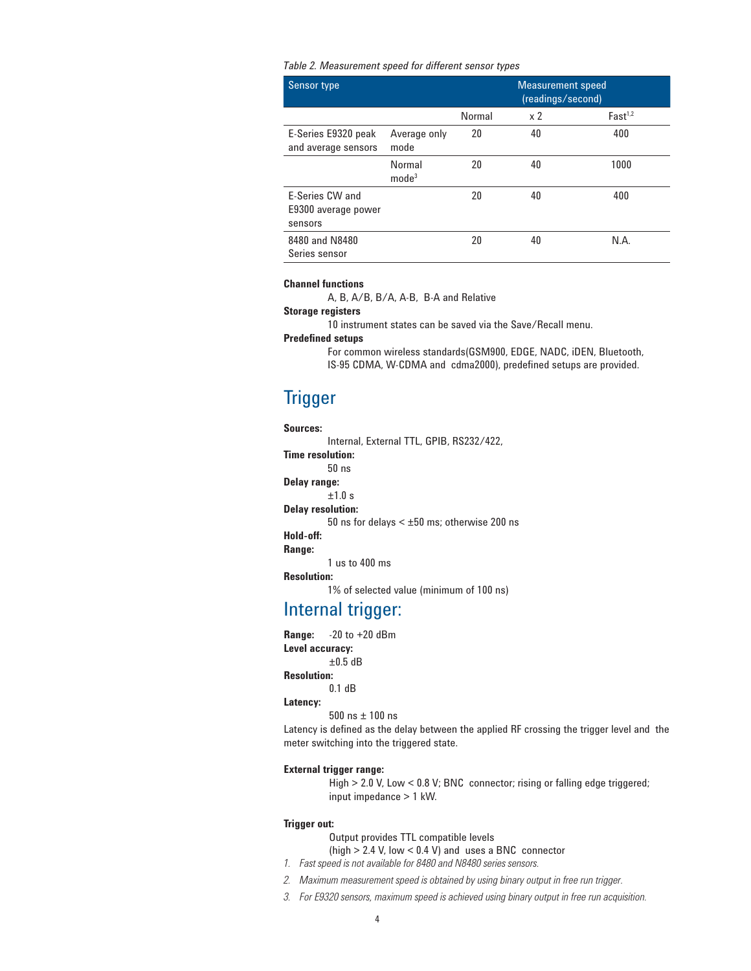*Table 2. Measurement speed for different sensor types*

| <b>Sensor type</b>                                |                             |        | <b>Measurement speed</b><br>(readings/second) |                     |
|---------------------------------------------------|-----------------------------|--------|-----------------------------------------------|---------------------|
|                                                   |                             | Normal | x <sub>2</sub>                                | Fast <sup>1,2</sup> |
| E-Series E9320 peak<br>and average sensors        | Average only<br>mode        | 20     | 40                                            | 400                 |
|                                                   | Normal<br>mode <sup>3</sup> | 20     | 40                                            | 1000                |
| E-Series CW and<br>E9300 average power<br>sensors |                             | 20     | 40                                            | 400                 |
| 8480 and N8480<br>Series sensor                   |                             | 20     | 40                                            | N.A.                |

#### **Channel functions**

A, B, A/B, B/A, A-B, B-A and Relative

#### **Storage registers**

10 instrument states can be saved via the Save/Recall menu.

#### **Predefined setups**

 For common wireless standards(GSM900, EDGE, NADC, iDEN, Bluetooth, IS-95 CDMA, W-CDMA and cdma2000), predefined setups are provided.

## **Trigger**

#### **Sources:**

Internal, External TTL, GPIB, RS232/422,

**Time resolution:**

50 ns

**Delay range:**

±1.0 s

**Delay resolution:**

50 ns for delays < ±50 ms; otherwise 200 ns

#### **Hold-off:**

**Range:**

1 us to 400 ms

#### **Resolution:**

1% of selected value (minimum of 100 ns)

## Internal trigger:

**Range:** -20 to +20 dBm **Level accuracy:**

±0.5 dB

### **Resolution:**

0.1 dB

#### **Latency:**

500 ns ± 100 ns

Latency is defined as the delay between the applied RF crossing the trigger level and the meter switching into the triggered state.

#### **External trigger range:**

 High > 2.0 V, Low < 0.8 V; BNC connector; rising or falling edge triggered; input impedance > 1 kW.

#### **Trigger out:**

Output provides TTL compatible levels

(high > 2.4 V, low < 0.4 V) and uses a BNC connector

- *1. Fast speed is not available for 8480 and N8480 series sensors.*
- *2. Maximum measurement speed is obtained by using binary output in free run trigger.*
- *3. For E9320 sensors, maximum speed is achieved using binary output in free run acquisition.*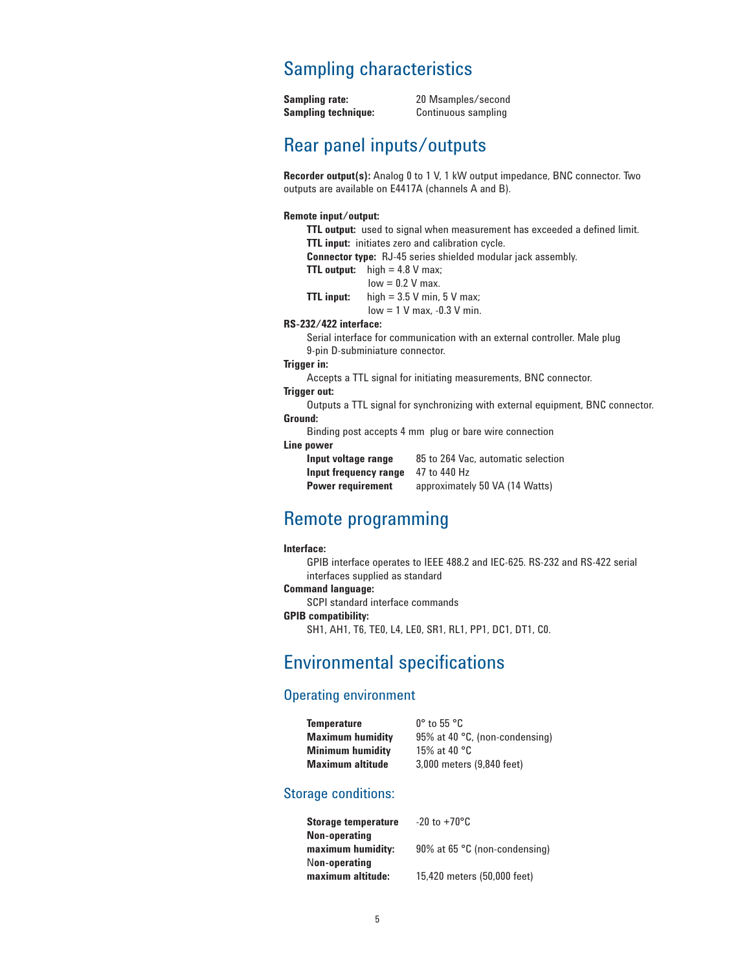## Sampling characteristics

Sampling rate: 20 Msamples/second **Sampling technique:** Continuous sampling

## Rear panel inputs/outputs

**Recorder output(s):** Analog 0 to 1 V, 1 kW output impedance, BNC connector. Two outputs are available on E4417A (channels A and B).

### **Remote input/output:**

**TTL output:** used to signal when measurement has exceeded a defined limit. **TTL input:** initiates zero and calibration cycle. **Connector type:** RJ-45 series shielded modular jack assembly. **TTL output:** high = 4.8 V max;  $low = 0.2 V$  max. **TTL input:** high =  $3.5$  V min,  $5$  V max; low = 1 V max, -0.3 V min. **RS-232/422 interface:** Serial interface for communication with an external controller. Male plug

9-pin D-subminiature connector.

### **Trigger in:**

Accepts a TTL signal for initiating measurements, BNC connector.

#### **Trigger out:**

 Outputs a TTL signal for synchronizing with external equipment, BNC connector. **Ground:**

Binding post accepts 4 mm plug or bare wire connection

### **Line power**

| Input voltage range      | 85 to 264 Vac, automatic selection |
|--------------------------|------------------------------------|
| Input frequency range    | 47 to 440 Hz                       |
| <b>Power requirement</b> | approximately 50 VA (14 Watts)     |

## Remote programming

#### **Interface:**

GPIB interface operates to IEEE 488.2 and IEC-625. RS-232 and RS-422 serial interfaces supplied as standard

### **Command language:**

SCPI standard interface commands

### **GPIB compatibility:**

SH1, AH1, T6, TE0, L4, LE0, SR1, RL1, PP1, DC1, DT1, C0.

## Environmental specifications

### Operating environment

| <b>Temperature</b>      | $0^{\circ}$ to 55 $^{\circ}$ C |
|-------------------------|--------------------------------|
| <b>Maximum humidity</b> | 95% at 40 °C, (non-condensing) |
| <b>Minimum humidity</b> | 15% at 40 °C                   |
| <b>Maximum altitude</b> | 3,000 meters (9,840 feet)      |
|                         |                                |

### Storage conditions:

| <b>Storage temperature</b> | $-20$ to $+70^{\circ}$ C      |
|----------------------------|-------------------------------|
| Non-operating              |                               |
| maximum humidity:          | 90% at 65 °C (non-condensing) |
| Non-operating              |                               |
| maximum altitude:          | 15,420 meters (50,000 feet)   |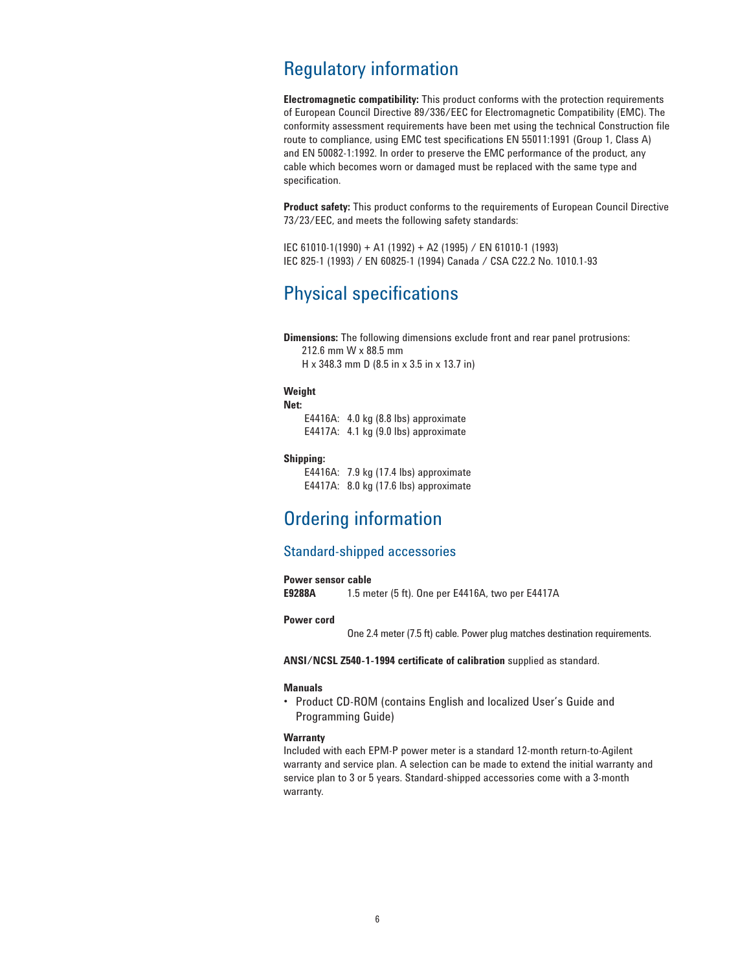## Regulatory information

**Electromagnetic compatibility:** This product conforms with the protection requirements of European Council Directive 89/336/EEC for Electromagnetic Compatibility (EMC). The conformity assessment requirements have been met using the technical Construction file route to compliance, using EMC test specifications EN 55011:1991 (Group 1, Class A) and EN 50082-1:1992. In order to preserve the EMC performance of the product, any cable which becomes worn or damaged must be replaced with the same type and specification.

**Product safety:** This product conforms to the requirements of European Council Directive 73/23/EEC, and meets the following safety standards:

IEC 61010-1(1990) + A1 (1992) + A2 (1995) / EN 61010-1 (1993) IEC 825-1 (1993) / EN 60825-1 (1994) Canada / CSA C22.2 No. 1010.1-93

## Physical specifications

**Dimensions:** The following dimensions exclude front and rear panel protrusions: 212.6 mm W x 88.5 mm

H x 348.3 mm D (8.5 in x 3.5 in x 13.7 in)

### **Weight**

**Net:**

 E4416A: 4.0 kg (8.8 lbs) approximate E4417A: 4.1 kg (9.0 lbs) approximate

#### **Shipping:**

 E4416A: 7.9 kg (17.4 lbs) approximate E4417A: 8.0 kg (17.6 lbs) approximate

## Ordering information

### Standard-shipped accessories

## **Power sensor cable<br>E9288A** 1.5 mo

**E9288A** 1.5 meter (5 ft). One per E4416A, two per E4417A

#### **Power cord**

One 2.4 meter (7.5 ft) cable. Power plug matches destination requirements.

**ANSI/NCSL Z540-1-1994 certificate of calibration** supplied as standard.

#### **Manuals**

• Product CD-ROM (contains English and localized User's Guide and Programming Guide)

#### **Warranty**

Included with each EPM-P power meter is a standard 12-month return-to-Agilent warranty and service plan. A selection can be made to extend the initial warranty and service plan to 3 or 5 years. Standard-shipped accessories come with a 3-month warranty.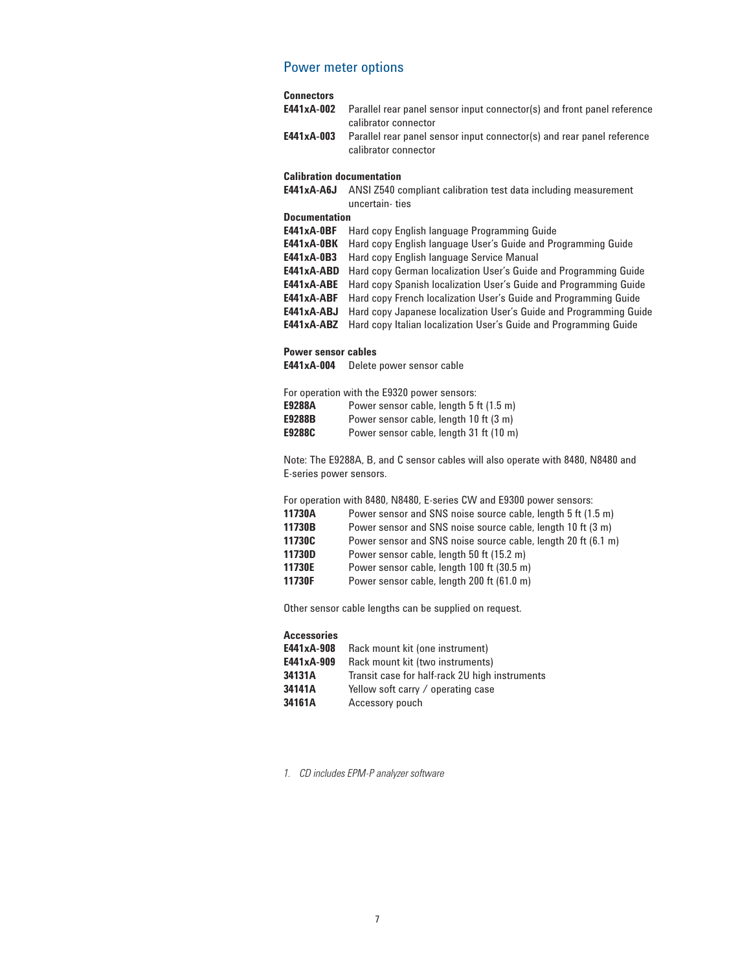### Power meter options

### **Connectors**

| E441xA-002                       | Parallel rear panel sensor input connector(s) and front panel reference<br>calibrator connector |  |
|----------------------------------|-------------------------------------------------------------------------------------------------|--|
| E441xA-003                       | Parallel rear panel sensor input connector(s) and rear panel reference                          |  |
|                                  | calibrator connector                                                                            |  |
| <b>Calibration documentation</b> |                                                                                                 |  |
| E441xA-A6J                       | ANSI Z540 compliant calibration test data including measurement                                 |  |
|                                  | uncertain-ties                                                                                  |  |
| <b>Documentation</b>             |                                                                                                 |  |
| E441xA-0BF                       | Hard copy English language Programming Guide                                                    |  |
| <b>E441xA-0BK</b>                | Hard copy English language User's Guide and Programming Guide                                   |  |
| E441xA-0B3                       | Hard copy English language Service Manual                                                       |  |
| E441xA-ABD                       | Hard copy German localization User's Guide and Programming Guide                                |  |
| E441xA-ABE                       | Hard copy Spanish localization User's Guide and Programming Guide                               |  |
| E441xA-ABF                       | Hard copy French localization User's Guide and Programming Guide                                |  |
| E441xA-ABJ                       | Hard copy Japanese localization User's Guide and Programming Guide                              |  |
| E441xA-ABZ                       | Hard copy Italian localization User's Guide and Programming Guide                               |  |
| <b>Power sensor cables</b>       |                                                                                                 |  |

**E441xA-004** Delete power sensor cable

|        | For operation with the E9320 power sensors: |
|--------|---------------------------------------------|
| E9288A | Power sensor cable, length 5 ft (1.5 m)     |
| E9288B | Power sensor cable, length 10 ft (3 m)      |
| E9288C | Power sensor cable, length 31 ft (10 m)     |

Note: The E9288A, B, and C sensor cables will also operate with 8480, N8480 and E-series power sensors.

For operation with 8480, N8480, E-series CW and E9300 power sensors:

| 11730A | Power sensor and SNS noise source cable, length 5 ft (1.5 m)  |
|--------|---------------------------------------------------------------|
| 11730B | Power sensor and SNS noise source cable, length 10 ft (3 m)   |
| 11730C | Power sensor and SNS noise source cable, length 20 ft (6.1 m) |
| 11730D | Power sensor cable, length 50 ft (15.2 m)                     |
| 11730E | Power sensor cable, length 100 ft (30.5 m)                    |
| 11730F | Power sensor cable, length 200 ft (61.0 m)                    |

Other sensor cable lengths can be supplied on request.

*1. CD includes EPM-P analyzer software*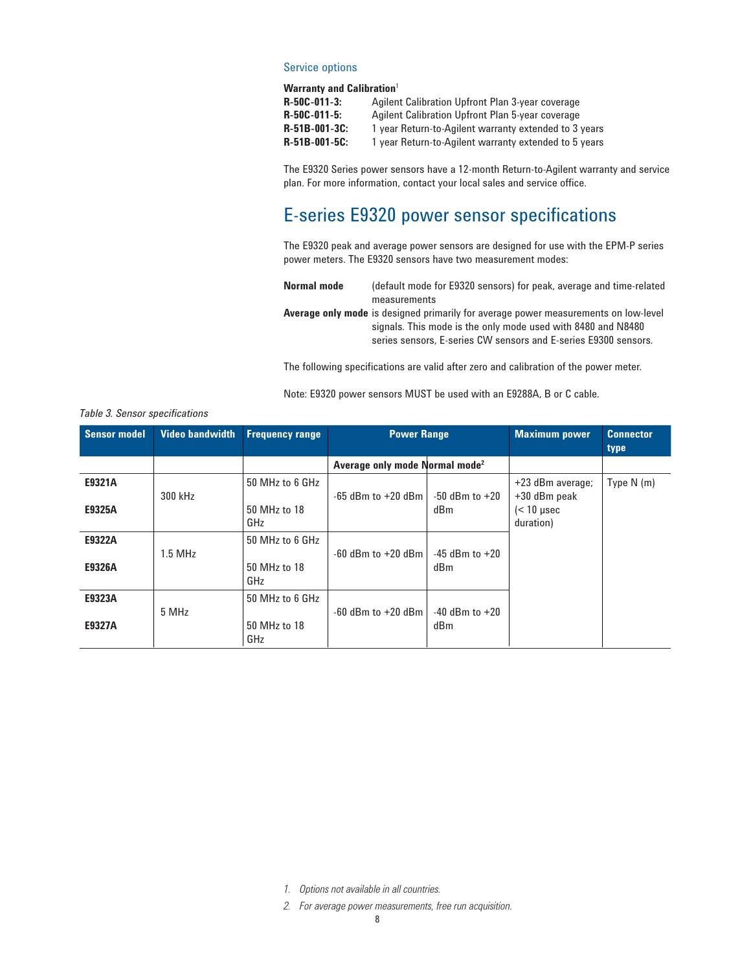#### Service options

### **Warranty and Calibration**<sup>1</sup>

| $R - 50C - 011 - 3$  | Agilent Calibration Upfront Plan 3-year coverage      |
|----------------------|-------------------------------------------------------|
| $R - 50C - 011 - 5$  | Agilent Calibration Upfront Plan 5-year coverage      |
| $R - 51B - 001 - 3C$ | 1 year Return-to-Agilent warranty extended to 3 years |
| $R-51B-001-5C$       | 1 year Return-to-Agilent warranty extended to 5 years |

The E9320 Series power sensors have a 12-month Return-to-Agilent warranty and service plan. For more information, contact your local sales and service office.

## E-series E9320 power sensor specifications

The E9320 peak and average power sensors are designed for use with the EPM-P series power meters. The E9320 sensors have two measurement modes:

**Normal mode** (default mode for E9320 sensors) for peak, average and time-related measurements

**Average only mode** is designed primarily for average power measurements on low-level signals. This mode is the only mode used with 8480 and N8480 series sensors, E-series CW sensors and E-series E9300 sensors.

The following specifications are valid after zero and calibration of the power meter.

Note: E9320 power sensors MUST be used with an E9288A, B or C cable.

| Sensor model     | <b>Video bandwidth</b> | <b>Frequency range</b>                 | <b>Power Range</b>                         |                           | <b>Maximum power</b>                                                 | <b>Connector</b> |
|------------------|------------------------|----------------------------------------|--------------------------------------------|---------------------------|----------------------------------------------------------------------|------------------|
|                  |                        |                                        | Average only mode Normal mode <sup>2</sup> |                           |                                                                      | type             |
| E9321A<br>E9325A | 300 kHz                | 50 MHz to 6 GHz<br>50 MHz to 18<br>GHz | $-65$ dBm to $+20$ dBm                     | $-50$ dBm to $+20$<br>dBm | +23 dBm average;<br>$+30$ dBm peak<br>$\approx$ 10 µsec<br>duration) | Type $N(m)$      |
| E9322A<br>E9326A | $1.5$ MHz              | 50 MHz to 6 GHz<br>50 MHz to 18<br>GHz | $-60$ dBm to $+20$ dBm                     | $-45$ dBm to $+20$<br>dBm |                                                                      |                  |
| E9323A<br>E9327A | 5 MHz                  | 50 MHz to 6 GHz<br>50 MHz to 18<br>GHz | $-60$ dBm to $+20$ dBm                     | $-40$ dBm to $+20$<br>dBm |                                                                      |                  |

#### *Table 3. Sensor specifications*

*1. Options not available in all countries.*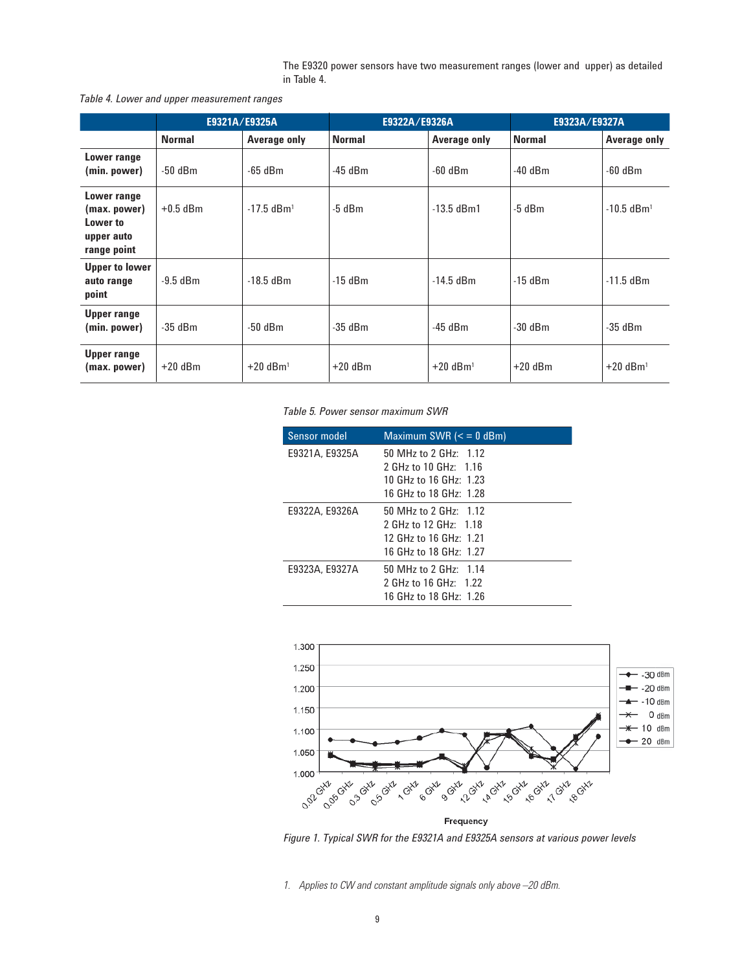The E9320 power sensors have two measurement ranges (lower and upper) as detailed in Table 4.

*Table 4. Lower and upper measurement ranges*

|                                                                      | E9321A/E9325A |                          | E9322A/E9326A |                        | E9323A/E9327A |                          |
|----------------------------------------------------------------------|---------------|--------------------------|---------------|------------------------|---------------|--------------------------|
|                                                                      | <b>Normal</b> | Average only             | <b>Normal</b> | Average only           | <b>Normal</b> | Average only             |
| Lower range<br>(min. power)                                          | $-50$ dBm     | $-65$ dBm                | $-45$ dBm     | $-60$ dBm              | $-40$ dBm     | $-60$ dBm                |
| Lower range<br>(max. power)<br>Lower to<br>upper auto<br>range point | $+0.5$ dBm    | $-17.5$ dBm <sup>1</sup> | $-5$ dBm      | $-13.5$ dBm1           | $-5$ dBm      | $-10.5$ dBm <sup>1</sup> |
| <b>Upper to lower</b><br>auto range<br>point                         | $-9.5$ dBm    | $-18.5$ dBm              | $-15$ dBm     | $-14.5$ dBm            | $-15$ dBm     | $-11.5$ dBm              |
| Upper range<br>(min. power)                                          | $-35$ dBm     | $-50$ dBm                | $-35$ dBm     | $-45$ dBm              | $-30$ dBm     | -35 dBm                  |
| Upper range<br>(max. power)                                          | $+20$ dBm     | $+20$ dBm <sup>1</sup>   | $+20$ dBm     | $+20$ dBm <sup>1</sup> | $+20$ dBm     | $+20$ dBm <sup>1</sup>   |

*Table 5. Power sensor maximum SWR*

| Sensor model   | Maximum SWR $\left( < 0$ dBm) |
|----------------|-------------------------------|
| E9321A, E9325A | 50 MHz to 2 GHz: $1.12$       |
|                | 2 GHz to 10 GHz: 1.16         |
|                | 10 GHz to 16 GHz: 1.23        |
|                | 16 GHz to 18 GHz: 1.28        |
| E9322A, E9326A | 50 MHz to 2 GHz: 1.12         |
|                | 2 GHz to 12 GHz: 1.18         |
|                | 12 GHz to 16 GHz: 1.21        |
|                | 16 GHz to 18 GHz: 1.27        |
| E9323A, E9327A | 50 MHz to 2 GHz: 1.14         |
|                | 2 GHz to 16 GHz: 1.22         |
|                | 16 GHz to 18 GHz: 1.26        |



*Figure 1. Typical SWR for the E9321A and E9325A sensors at various power levels*

*1. Applies to CW and constant amplitude signals only above –20 dBm.*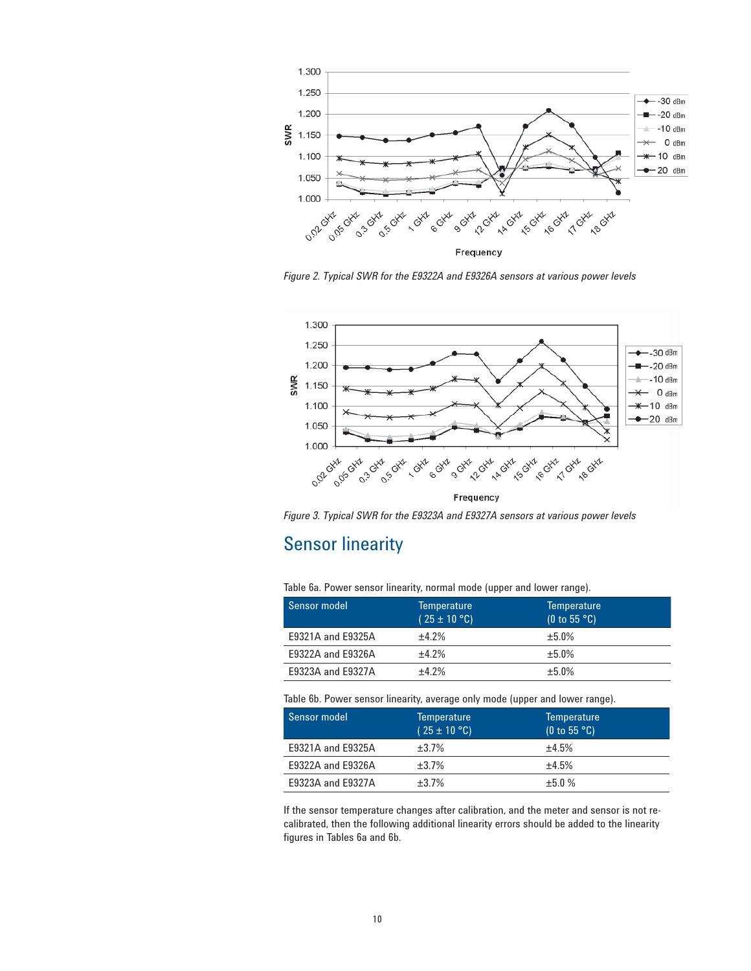

*Figure 2. Typical SWR for the E9322A and E9326A sensors at various power levels*



*Figure 3. Typical SWR for the E9323A and E9327A sensors at various power levels*

## Sensor linearity

Table 6a. Power sensor linearity, normal mode (upper and lower range).

| Sensor model      | <b>Temperature</b><br>$(25 \pm 10$ °C) | <b>Temperature</b><br>(0 to 55 °C) |
|-------------------|----------------------------------------|------------------------------------|
| E9321A and E9325A | $+4.2%$                                | $+5.0%$                            |
| E9322A and E9326A | $+4.2%$                                | $+5.0%$                            |
| E9323A and E9327A | $+4.2%$                                | ±5.0%                              |

Table 6b. Power sensor linearity, average only mode (upper and lower range).

| Sensor model      | <b>Temperature</b><br>$(25 \pm 10$ °C) | <b>Temperature</b><br>(0 to 55 °C) |
|-------------------|----------------------------------------|------------------------------------|
| E9321A and E9325A | ±3.7%                                  | $+4.5%$                            |
| E9322A and E9326A | ±3.7%                                  | ±4.5%                              |
| E9323A and E9327A | $+3.7%$                                | $+5.0%$                            |

If the sensor temperature changes after calibration, and the meter and sensor is not recalibrated, then the following additional linearity errors should be added to the linearity figures in Tables 6a and 6b.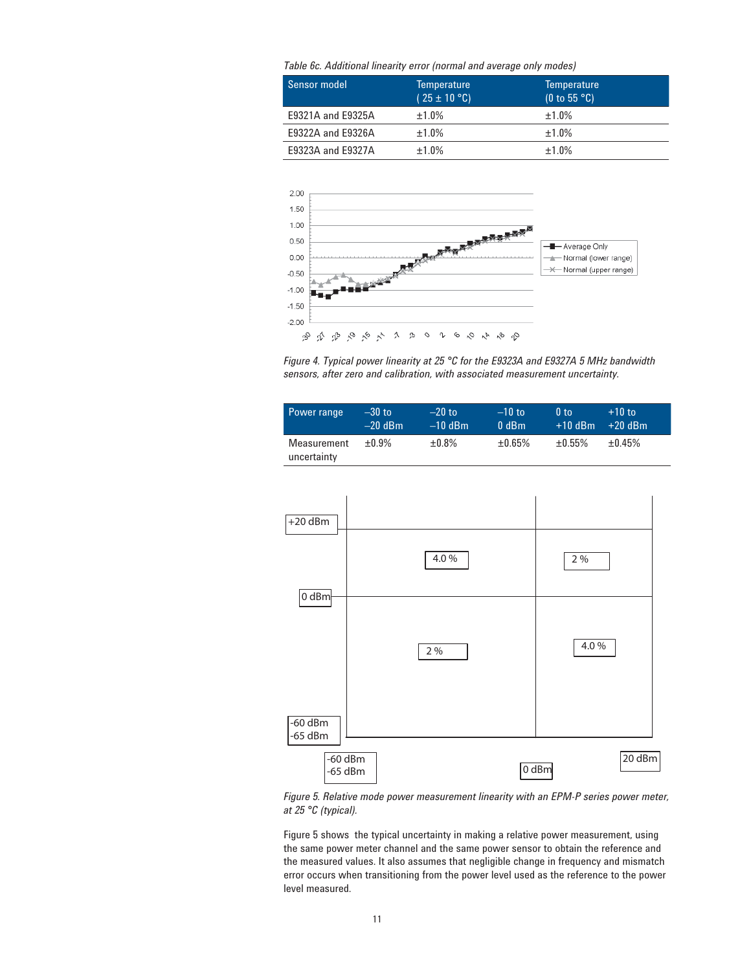*Table 6c. Additional linearity error (normal and average only modes)*

| Sensor model      | <b>Temperature</b><br>$(25 \pm 10$ °C) | <b>Temperature</b><br>(0 to 55 °C) |
|-------------------|----------------------------------------|------------------------------------|
| E9321A and E9325A | ±1.0%                                  | ±1.0%                              |
| E9322A and E9326A | ±1.0%                                  | ±1.0%                              |
| E9323A and E9327A | ±1.0%                                  | $±1.0\%$                           |



*Figure 4. Typical power linearity at 25 °C for the E9323A and E9327A 5 MHz bandwidth sensors, after zero and calibration, with associated measurement uncertainty.*

| Power range                | $-30$ to<br>$-20$ dBm | $-20$ to<br>$-10$ dBm | $-10$ to<br>$0$ dBm | 0 <sub>to</sub><br>$+10$ dBm | $+10$ to<br>$+20$ dBm |  |
|----------------------------|-----------------------|-----------------------|---------------------|------------------------------|-----------------------|--|
| Measurement<br>uncertainty | $+0.9\%$              | $±0.8\%$              | ±0.65%              | $+0.55\%$                    | $+0.45%$              |  |



*Figure 5. Relative mode power measurement linearity with an EPM-P series power meter, at 25 °C (typical).*

Figure 5 shows the typical uncertainty in making a relative power measurement, using the same power meter channel and the same power sensor to obtain the reference and the measured values. It also assumes that negligible change in frequency and mismatch error occurs when transitioning from the power level used as the reference to the power level measured.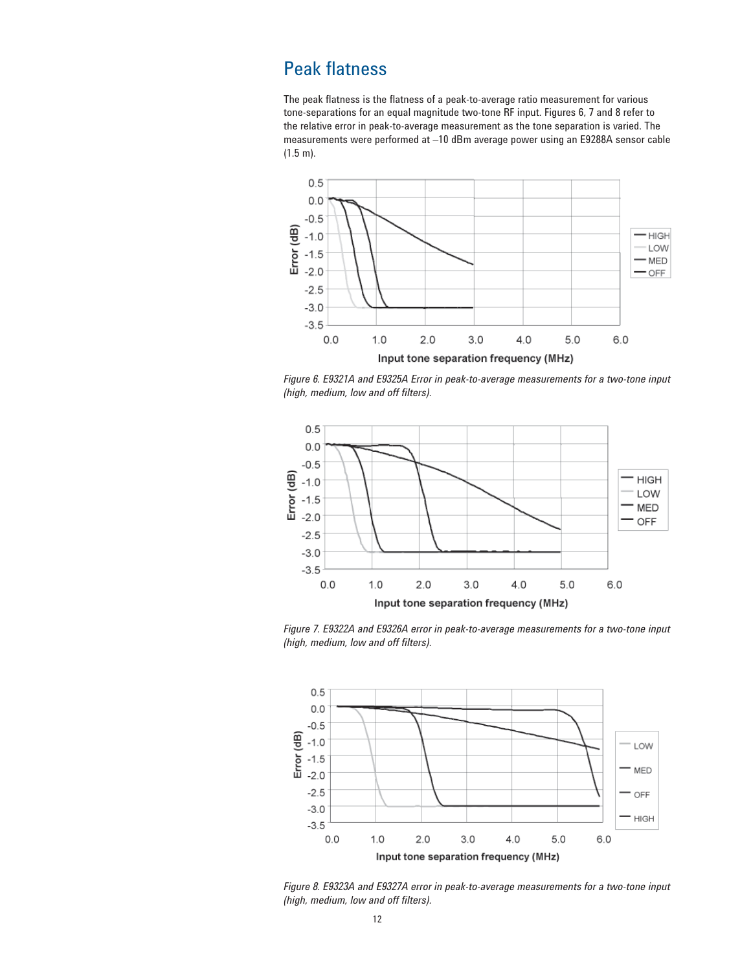## Peak flatness

The peak flatness is the flatness of a peak-to-average ratio measurement for various tone-separations for an equal magnitude two-tone RF input. Figures 6, 7 and 8 refer to the relative error in peak-to-average measurement as the tone separation is varied. The measurements were performed at –10 dBm average power using an E9288A sensor cable (1.5 m).



*Figure 6. E9321A and E9325A Error in peak-to-average measurements for a two-tone input (high, medium, low and off filters).*



*Figure 7. E9322A and E9326A error in peak-to-average measurements for a two-tone input (high, medium, low and off filters).*



*Figure 8. E9323A and E9327A error in peak-to-average measurements for a two-tone input (high, medium, low and off filters).*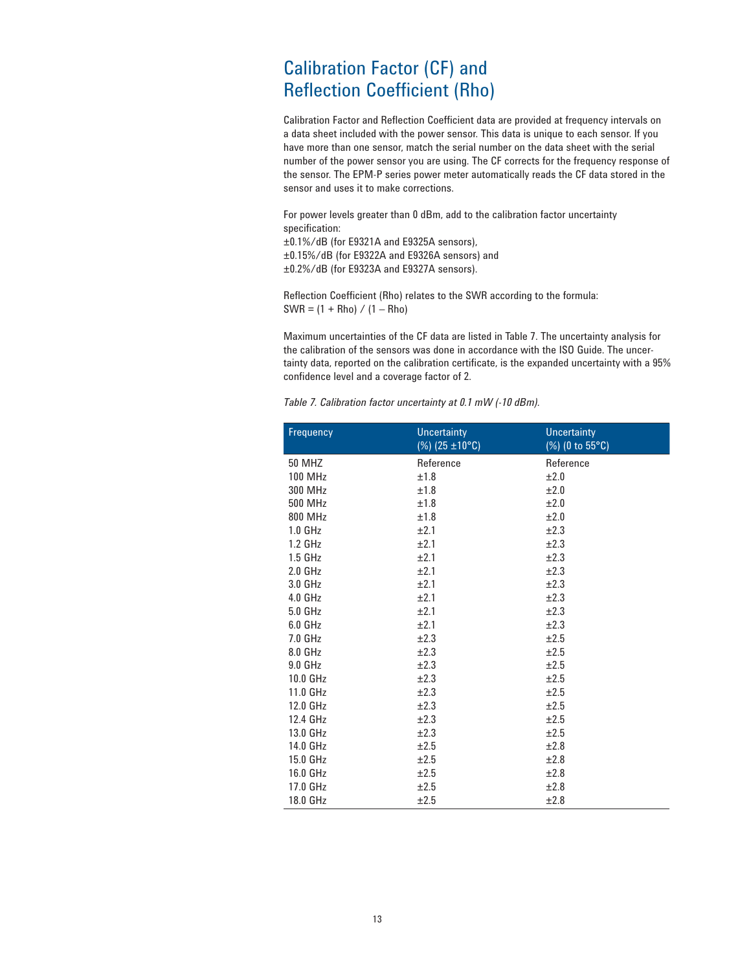## Calibration Factor (CF) and Reflection Coefficient (Rho)

Calibration Factor and Reflection Coefficient data are provided at frequency intervals on a data sheet included with the power sensor. This data is unique to each sensor. If you have more than one sensor, match the serial number on the data sheet with the serial number of the power sensor you are using. The CF corrects for the frequency response of the sensor. The EPM-P series power meter automatically reads the CF data stored in the sensor and uses it to make corrections.

For power levels greater than 0 dBm, add to the calibration factor uncertainty specification:

±0.1%/dB (for E9321A and E9325A sensors), ±0.15%/dB (for E9322A and E9326A sensors) and ±0.2%/dB (for E9323A and E9327A sensors).

Reflection Coefficient (Rho) relates to the SWR according to the formula:  $SWR = (1 + Rho) / (1 - Rho)$ 

Maximum uncertainties of the CF data are listed in Table 7. The uncertainty analysis for the calibration of the sensors was done in accordance with the ISO Guide. The uncertainty data, reported on the calibration certificate, is the expanded uncertainty with a 95% confidence level and a coverage factor of 2.

*Table 7. Calibration factor uncertainty at 0.1 mW (-10 dBm).*

| Frequency          | <b>Uncertainty</b><br>$(\%)$ (25 ±10°C) | <b>Uncertainty</b><br>(%) (0 to 55°C) |
|--------------------|-----------------------------------------|---------------------------------------|
| <b>50 MHZ</b>      | Reference                               | Reference                             |
| <b>100 MHz</b>     | ±1.8                                    | ±2.0                                  |
| 300 MHz            | ±1.8                                    | ±2.0                                  |
| 500 MHz            | ±1.8                                    | ±2.0                                  |
| 800 MHz            | ±1.8                                    | ±2.0                                  |
| 1.0 <sub>GHz</sub> | ±2.1                                    | ±2.3                                  |
| 1.2 GHz            | ±2.1                                    | ±2.3                                  |
| 1.5 GHz            | ±2.1                                    | ±2.3                                  |
| 2.0 <sub>GHz</sub> | ±2.1                                    | ±2.3                                  |
| 3.0 GHz            | ±2.1                                    | ±2.3                                  |
| 4.0 GHz            | ±2.1                                    | ±2.3                                  |
| 5.0 GHz            | ±2.1                                    | ±2.3                                  |
| $6.0$ GHz          | ±2.1                                    | ±2.3                                  |
| 7.0 GHz            | ±2.3                                    | ±2.5                                  |
| 8.0 GHz            | ±2.3                                    | ±2.5                                  |
| 9.0 GHz            | ±2.3                                    | ±2.5                                  |
| 10.0 GHz           | ±2.3                                    | ±2.5                                  |
| 11.0 GHz           | ±2.3                                    | ±2.5                                  |
| 12.0 GHz           | ±2.3                                    | ±2.5                                  |
| 12.4 GHz           | ±2.3                                    | ±2.5                                  |
| 13.0 GHz           | ±2.3                                    | ±2.5                                  |
| 14.0 GHz           | ±2.5                                    | ±2.8                                  |
| 15.0 GHz           | ±2.5                                    | ±2.8                                  |
| 16.0 GHz           | ±2.5                                    | ±2.8                                  |
| 17.0 GHz           | ±2.5                                    | ±2.8                                  |
| 18.0 GHz           | ±2.5                                    | ±2.8                                  |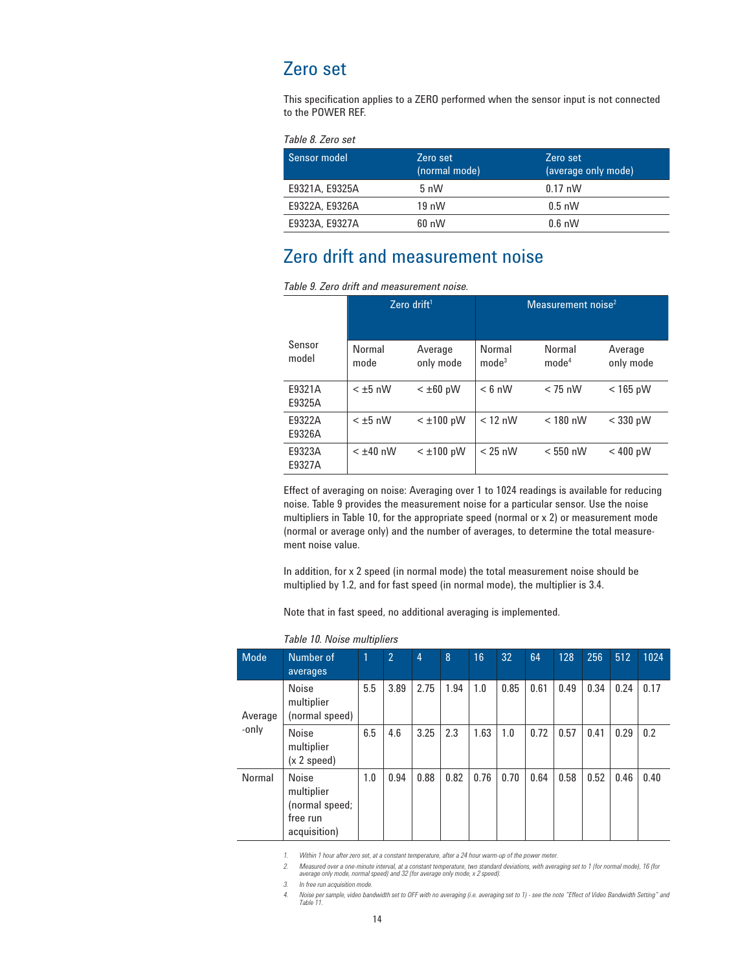## Zero set

This specification applies to a ZERO performed when the sensor input is not connected to the POWER REF.

*Table 8. Zero set*

| Sensor model   | Zero set<br>(normal mode) | Zero set<br>(average only mode) |
|----------------|---------------------------|---------------------------------|
| E9321A, E9325A | $5 \text{ nW}$            | $0.17 \text{ nW}$               |
| E9322A, E9326A | $19 \text{ nW}$           | $0.5$ nW                        |
| E9323A, E9327A | $60 \, \text{nW}$         | $0.6$ nW                        |

## Zero drift and measurement noise

|  |  | Table 9. Zero drift and measurement noise. |  |
|--|--|--------------------------------------------|--|
|--|--|--------------------------------------------|--|

|                  | Zero drift $1$ |                      | Measurement noise <sup>2</sup> |                             |                      |
|------------------|----------------|----------------------|--------------------------------|-----------------------------|----------------------|
| Sensor<br>model  | Normal<br>mode | Average<br>only mode | Normal<br>mode <sup>3</sup>    | Normal<br>mode <sup>4</sup> | Average<br>only mode |
| F9321A<br>E9325A | $< \pm 5$ nW   | $< \pm 60$ pW        | $< 6$ nW                       | $<$ 75 nW                   | $<$ 165 pW           |
| F9322A<br>E9326A | $< \pm 5$ nW   | $<$ $\pm$ 100 pW     | $< 12$ nW                      | $<$ 180 nW                  | $<$ 330 pW           |
| E9323A<br>E9327A | $< \pm 40$ nW  | $<$ $\pm$ 100 pW     | $< 25$ nW                      | $< 550$ nW                  | $< 400$ pW           |

Effect of averaging on noise: Averaging over 1 to 1024 readings is available for reducing noise. Table 9 provides the measurement noise for a particular sensor. Use the noise multipliers in Table 10, for the appropriate speed (normal or x 2) or measurement mode (normal or average only) and the number of averages, to determine the total measurement noise value.

In addition, for x 2 speed (in normal mode) the total measurement noise should be multiplied by 1.2, and for fast speed (in normal mode), the multiplier is 3.4.

Note that in fast speed, no additional averaging is implemented.

| <b>Mode</b> | Number of<br>averages                                                    | 11  | $\overline{2}$ | 4    | 8    | 16   | 32   | 64   | 128  | 256  | 512  | 1024 |
|-------------|--------------------------------------------------------------------------|-----|----------------|------|------|------|------|------|------|------|------|------|
| Average     | <b>Noise</b><br>multiplier<br>(normal speed)                             | 5.5 | 3.89           | 2.75 | 1.94 | 1.0  | 0.85 | 0.61 | 0.49 | 0.34 | 0.24 | 0.17 |
| -only       | Noise<br>multiplier<br>(x 2 speed)                                       | 6.5 | 4.6            | 3.25 | 2.3  | 1.63 | 1.0  | 0.72 | 0.57 | 0.41 | 0.29 | 0.2  |
| Normal      | <b>Noise</b><br>multiplier<br>(normal speed;<br>free run<br>acquisition) | 1.0 | 0.94           | 0.88 | 0.82 | 0.76 | 0.70 | 0.64 | 0.58 | 0.52 | 0.46 | 0.40 |

#### *Table 10. Noise multipliers*

*1. Within 1 hour after zero set, at a constant temperature, after a 24 hour warm-up of the power meter.*

2. Measured over a one-minute interval, at a constant temperature, two standard deviations, with averaging set to 1 (for normal mode), 16 (for<br>average only mode, normal speed) and 32 (for average only mode, x 2 speed).

*3. In free run acquisition mode.*

*4. Noise per sample, video bandwidth set to OFF with no averaging (i.e. averaging set to 1) - see the note "Effect of Video Bandwidth Setting" and Table 11.*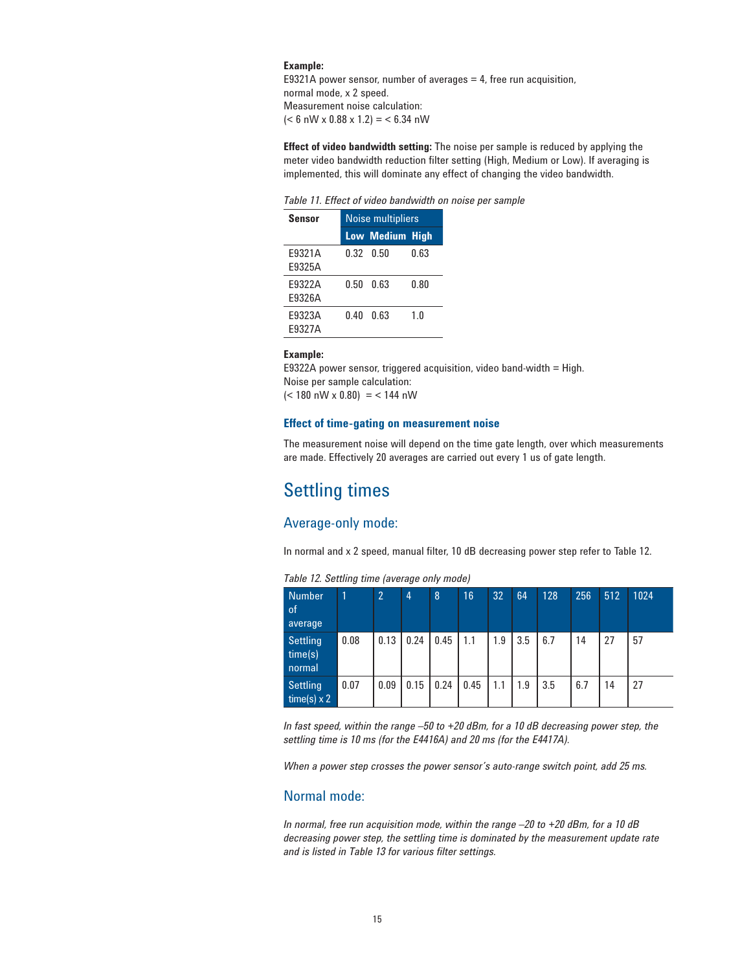#### **Example:**

E9321A power sensor, number of averages  $=$  4, free run acquisition, normal mode, x 2 speed. Measurement noise calculation:  $(< 6$  nW x 0.88 x 1.2) =  $< 6.34$  nW

**Effect of video bandwidth setting:** The noise per sample is reduced by applying the meter video bandwidth reduction filter setting (High, Medium or Low). If averaging is implemented, this will dominate any effect of changing the video bandwidth.

*Table 11. Effect of video bandwidth on noise per sample*

| Sensor | <b>Noise multipliers</b> |                        |      |  |  |
|--------|--------------------------|------------------------|------|--|--|
|        |                          | <b>Low Medium High</b> |      |  |  |
| F9321A |                          | 0.32 0.50              | 0.63 |  |  |
| F9325A |                          |                        |      |  |  |
| F9322A | N 50                     | 0.63                   | 0.80 |  |  |
| F9326A |                          |                        |      |  |  |
| F9323A | በ 4በ                     | 0.63                   | 1 N  |  |  |
| F9327A |                          |                        |      |  |  |

#### **Example:**

E9322A power sensor, triggered acquisition, video band-width = High. Noise per sample calculation:  $(< 180 \text{ nW} \times 0.80)$  = < 144 nW

#### **Effect of time-gating on measurement noise**

The measurement noise will depend on the time gate length, over which measurements are made. Effectively 20 averages are carried out every 1 us of gate length.

## Settling times

### Average-only mode:

In normal and x 2 speed, manual filter, 10 dB decreasing power step refer to Table 12.

| <b>Number</b><br>of.<br>average       |      | $\overline{2}$ | $\overline{4}$ | $\overline{8}$ | 16   | 32  | 64  | 128 | 256 | 512 | 1024 |
|---------------------------------------|------|----------------|----------------|----------------|------|-----|-----|-----|-----|-----|------|
| <b>Settling</b><br>time(s)<br>normal  | 0.08 | 0.13           | 0.24           | 0.45           | 1.1  | 1.9 | 3.5 | 6.7 | 14  | 27  | 57   |
| <b>Settling</b><br>time(s) $\times$ 2 | 0.07 | 0.09           | 0.15           | 0.24           | 0.45 | 1.1 | 1.9 | 3.5 | 6.7 | 14  | 27   |

*Table 12. Settling time (average only mode)*

*In fast speed, within the range –50 to +20 dBm, for a 10 dB decreasing power step, the settling time is 10 ms (for the E4416A) and 20 ms (for the E4417A).*

*When a power step crosses the power sensor's auto-range switch point, add 25 ms.*

### Normal mode:

*In normal, free run acquisition mode, within the range –20 to +20 dBm, for a 10 dB decreasing power step, the settling time is dominated by the measurement update rate and is listed in Table 13 for various filter settings.*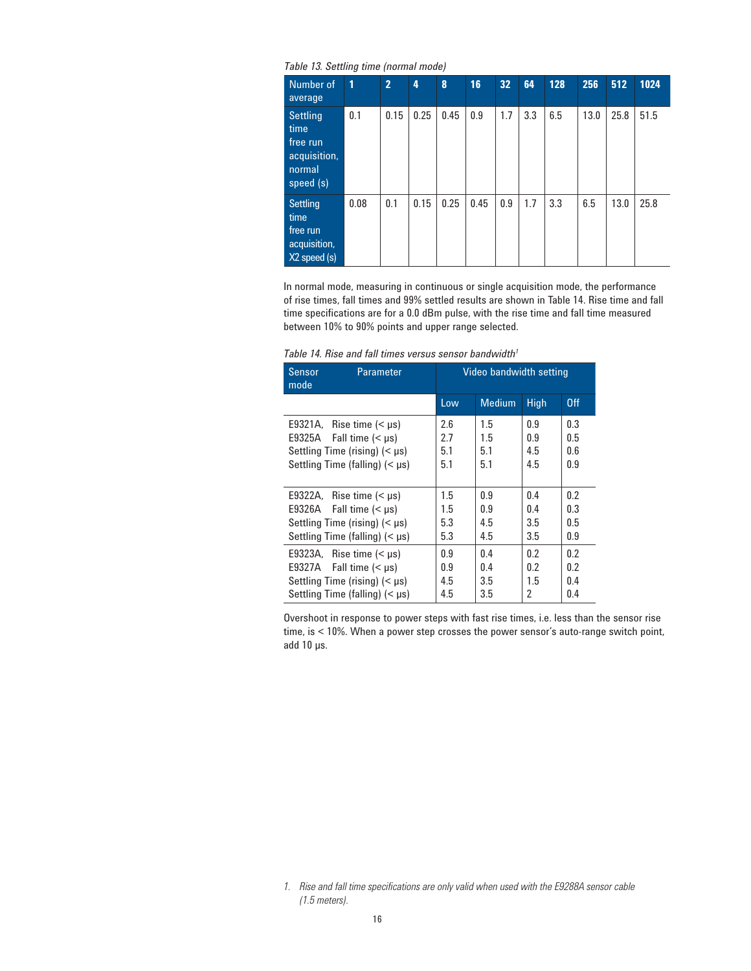*Table 13. Settling time (normal mode)*

| Number of<br>average                                                | 1    | $\overline{2}$ | 4    | 8    | 16   | 32  | 64  | 128 | 256  | 512  | 1024 |
|---------------------------------------------------------------------|------|----------------|------|------|------|-----|-----|-----|------|------|------|
| Settling<br>time<br>free run<br>acquisition,<br>normal<br>speed (s) | 0.1  | 0.15           | 0.25 | 0.45 | 0.9  | 1.7 | 3.3 | 6.5 | 13.0 | 25.8 | 51.5 |
| Settling<br>time<br>free run<br>acquisition,<br>$X2$ speed $(s)$    | 0.08 | 0.1            | 0.15 | 0.25 | 0.45 | 0.9 | 1.7 | 3.3 | 6.5  | 13.0 | 25.8 |

In normal mode, measuring in continuous or single acquisition mode, the performance of rise times, fall times and 99% settled results are shown in Table 14. Rise time and fall time specifications are for a 0.0 dBm pulse, with the rise time and fall time measured between 10% to 90% points and upper range selected.

| Table 14. Rise and fall times versus sensor bandwidth <sup>1</sup> |  |
|--------------------------------------------------------------------|--|
|--------------------------------------------------------------------|--|

| Sensor<br>mode | <b>Parameter</b>                      |     | Video bandwidth setting |             |     |
|----------------|---------------------------------------|-----|-------------------------|-------------|-----|
|                |                                       | Low | <b>Medium</b>           | <b>High</b> | 0ff |
|                | E9321A, Rise time $(\mu s)$           | 2.6 | 1.5                     | 0.9         | 0.3 |
| E9325A         | Fall time $(< \mu s)$                 | 2.7 | 1.5                     | 0.9         | 0.5 |
|                | Settling Time (rising) $(< \mu s$ )   | 5.1 | 5.1                     | 4.5         | 0.6 |
|                | Settling Time (falling) $(<$ $\mu$ s) | 5.1 | 5.1                     | 4.5         | 0.9 |
|                |                                       |     |                         |             |     |
|                | E9322A, Rise time $(\mu s)$           | 1.5 | 0.9                     | 0.4         | 0.2 |
|                | E9326A Fall time $(\mu s)$            | 1.5 | 0.9                     | 0.4         | 0.3 |
|                | Settling Time (rising) $(< \mu s$ )   | 5.3 | 4.5                     | 3.5         | 0.5 |
|                | Settling Time (falling) $(< \mu s$ )  | 5.3 | 4.5                     | 3.5         | 0.9 |
|                | E9323A, Rise time $(\mu s)$           | 0.9 | 0.4                     | 0.2         | 0.2 |
|                | E9327A Fall time $(\mu s)$            | 0.9 | 0.4                     | 0.2         | 0.2 |
|                | Settling Time (rising) $(< \mu s$ )   | 4.5 | 3.5                     | 1.5         | 0.4 |
|                | Settling Time (falling) $(< \mu s$ )  | 4.5 | 3.5                     | 2           | 0.4 |

Overshoot in response to power steps with fast rise times, i.e. less than the sensor rise time, is < 10%. When a power step crosses the power sensor's auto-range switch point, add 10 µs.

*<sup>1.</sup> Rise and fall time specifications are only valid when used with the E9288A sensor cable (1.5 meters).*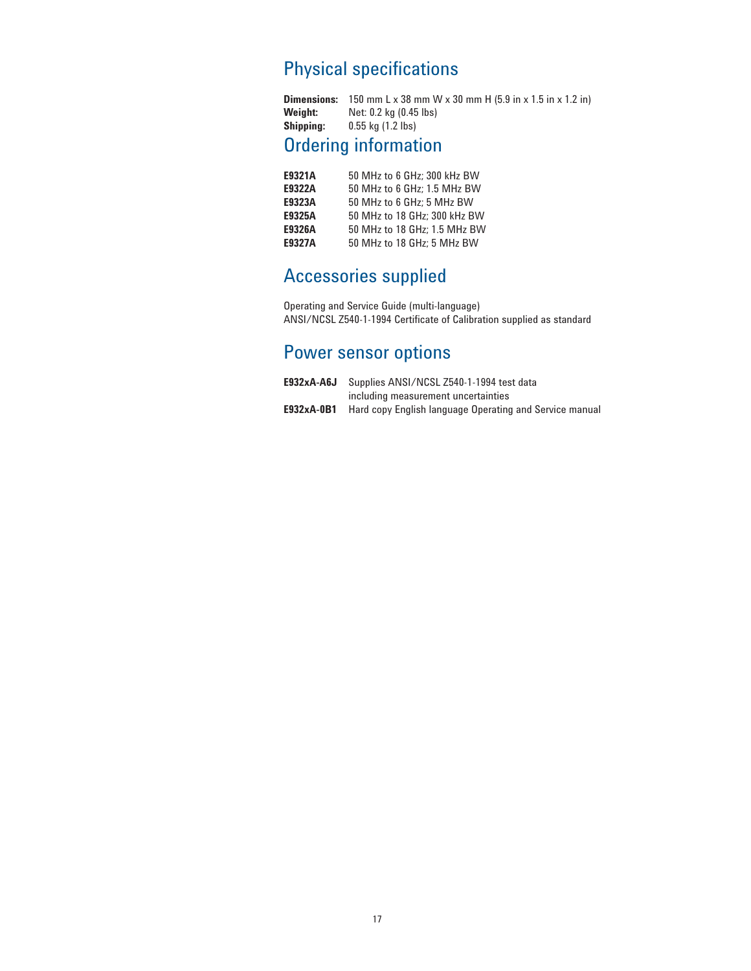## Physical specifications

| <b>Dimensions:</b> | 150 mm L x 38 mm W x 30 mm H $(5.9$ in x 1.5 in x 1.2 in) |
|--------------------|-----------------------------------------------------------|
| Weiaht:            | Net: 0.2 kg (0.45 lbs)                                    |
| <b>Shipping:</b>   | $0.55$ kg $(1.2$ lbs)                                     |

## Ordering information

| E9321A        | 50 MHz to 6 GHz; 300 kHz BW  |
|---------------|------------------------------|
| E9322A        | 50 MHz to 6 GHz: 1.5 MHz BW  |
| E9323A        | 50 MHz to 6 GHz; 5 MHz BW    |
| E9325A        | 50 MHz to 18 GHz; 300 kHz BW |
| E9326A        | 50 MHz to 18 GHz: 1.5 MHz BW |
| <b>E9327A</b> | 50 MHz to 18 GHz: 5 MHz BW   |

## Accessories supplied

Operating and Service Guide (multi-language) ANSI/NCSL Z540-1-1994 Certificate of Calibration supplied as standard

## Power sensor options

| E932xA-A6J | Supplies ANSI/NCSL Z540-1-1994 test data                |
|------------|---------------------------------------------------------|
|            | including measurement uncertainties                     |
| E932xA-0B1 | Hard copy English language Operating and Service manual |